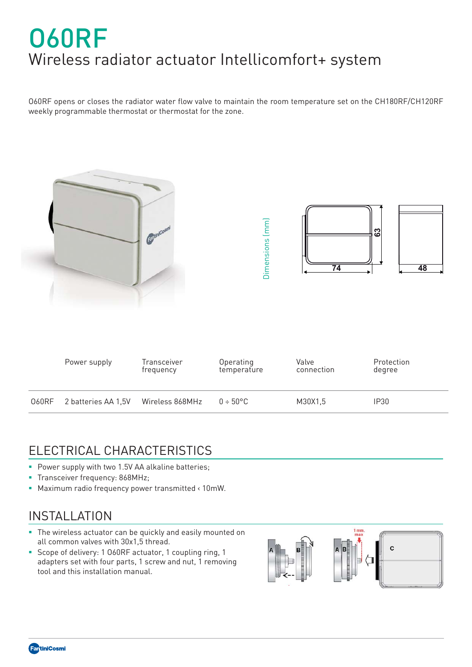# O60RF Wireless radiator actuator Intellicomfort+ system

O60RF opens or closes the radiator water flow valve to maintain the room temperature set on the CH180RF/CH120RF weekly programmable thermostat or thermostat for the zone.



## ELECTRICAL CHARACTERISTICS

- **Power supply with two 1.5V AA alkaline batteries;**
- **Transceiver frequency: 868MHz;**
- Maximum radio frequency power transmitted < 10mW.

#### INSTALLATION

- **The wireless actuator can be quickly and easily mounted on** all common valves with 30x1,5 thread.
- Scope of delivery: 1 O60RF actuator, 1 coupling ring, 1 adapters set with four parts, 1 screw and nut, 1 removing tool and this installation manual.



**FantiniCosmi**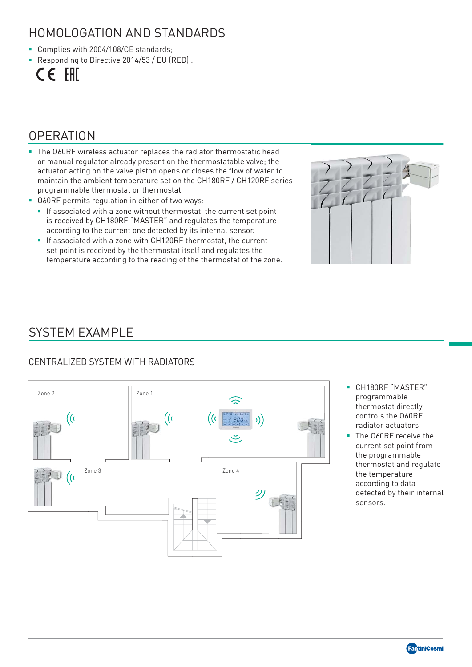# HOMOLOGATION AND STANDARDS

- Complies with 2004/108/CE standards:
- Responding to Directive 2014/53 / EU (RED).



### **OPERATION**

- The 060RF wireless actuator replaces the radiator thermostatic head or manual regulator already present on the thermostatable valve; the actuator acting on the valve piston opens or closes the flow of water to maintain the ambient temperature set on the CH180RF / CH120RF series programmable thermostat or thermostat.
- O60RF permits regulation in either of two ways:
	- If associated with a zone without thermostat, the current set point is received by CH180RF "MASTER" and regulates the temperature according to the current one detected by its internal sensor.
	- If associated with a zone with CH120RF thermostat, the current set point is received by the thermostat itself and regulates the temperature according to the reading of the thermostat of the zone.



## SYSTEM EXAMPLE

#### CENTRALIZED SYSTEM WITH RADIATORS



- CH180RF "MASTER" programmable thermostat directly controls the O60RF radiator actuators.
- The O60RF receive the current set point from the programmable thermostat and regulate the temperature according to data detected by their internal sensors.

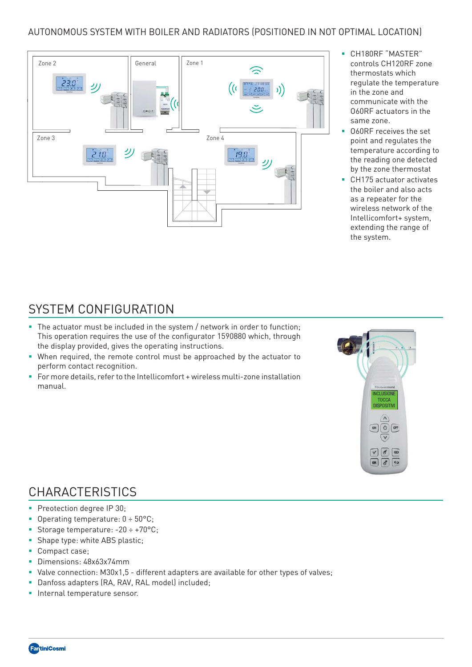

- CH180RF "MASTER" controls CH120RF zone thermostats which regulate the temperature in the zone and communicate with the O60RF actuators in the same zone.
- **O60RF** receives the set point and regulates the temperature according to the reading one detected by the zone thermostat
- CH175 actuator activates the boiler and also acts as a repeater for the wireless network of the Intellicomfort+ system, extending the range of the system.

## SYSTEM CONFIGURATION

- The actuator must be included in the system / network in order to function; This operation requires the use of the configurator 1590880 which, through the display provided, gives the operating instructions.
- When required, the remote control must be approached by the actuator to perform contact recognition.
- For more details, refer to the Intellicomfort + wireless multi-zone installation manual.



## **CHARACTERISTICS**

- Preotection degree IP 30;
- Operating temperature: 0 ÷ 50°C;
- Storage temperature:  $-20 \div +70^{\circ}$ C;
- **Shape type: white ABS plastic:**
- Compact case:
- Dimensions: 48x63x74mm
- Valve connection: M30x1,5 different adapters are available for other types of valves;
- Danfoss adapters (RA, RAV, RAL model) included;
- **Internal temperature sensor.**